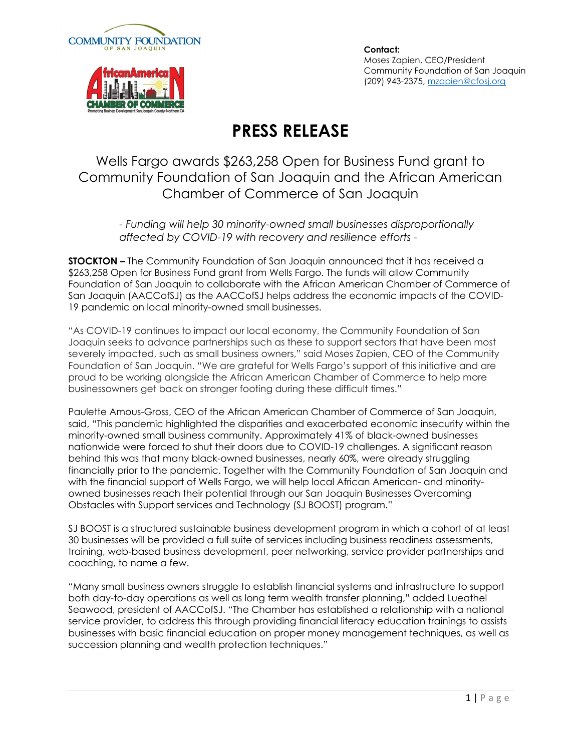



**Contact:**  Moses Zapien, CEO/President Community Foundation of San Joaquin (209) 943-2375, mzapien@cfosj.org

## **PRESS RELEASE**

Wells Fargo awards \$263,258 Open for Business Fund grant to Community Foundation of San Joaquin and the African American Chamber of Commerce of San Joaquin

*- Funding will help 30 minority-owned small businesses disproportionally affected by COVID-19 with recovery and resilience efforts -* 

**STOCKTON –** The Community Foundation of San Joaquin announced that it has received a \$263,258 Open for Business Fund grant from Wells Fargo. The funds will allow Community Foundation of San Joaquin to collaborate with the African American Chamber of Commerce of San Joaquin (AACCofSJ) as the AACCofSJ helps address the economic impacts of the COVID-19 pandemic on local minority-owned small businesses.

"As COVID-19 continues to impact our local economy, the Community Foundation of San Joaquin seeks to advance partnerships such as these to support sectors that have been most severely impacted, such as small business owners," said Moses Zapien, CEO of the Community Foundation of San Joaquin. "We are grateful for Wells Fargo's support of this initiative and are proud to be working alongside the African American Chamber of Commerce to help more businessowners get back on stronger footing during these difficult times."

Paulette Amous-Gross, CEO of the African American Chamber of Commerce of San Joaquin, said, "This pandemic highlighted the disparities and exacerbated economic insecurity within the minority-owned small business community. Approximately 41% of black-owned businesses nationwide were forced to shut their doors due to COVID-19 challenges. A significant reason behind this was that many black-owned businesses, nearly 60%, were already struggling financially prior to the pandemic. Together with the Community Foundation of San Joaquin and with the financial support of Wells Fargo, we will help local African American- and minorityowned businesses reach their potential through our San Joaquin Businesses Overcoming Obstacles with Support services and Technology (SJ BOOST) program."

SJ BOOST is a structured sustainable business development program in which a cohort of at least 30 businesses will be provided a full suite of services including business readiness assessments, training, web-based business development, peer networking, service provider partnerships and coaching, to name a few.

"Many small business owners struggle to establish financial systems and infrastructure to support both day-to-day operations as well as long term wealth transfer planning," added Lueathel Seawood, president of AACCofSJ. "The Chamber has established a relationship with a national service provider, to address this through providing financial literacy education trainings to assists businesses with basic financial education on proper money management techniques, as well as succession planning and wealth protection techniques."